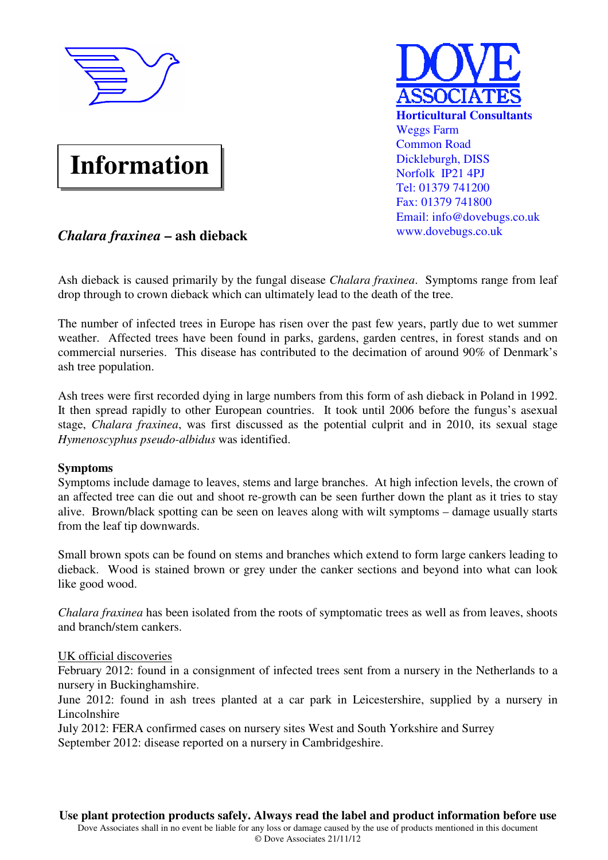

# **Information**



## *Chalara fraxinea* **– ash dieback**

Ash dieback is caused primarily by the fungal disease *Chalara fraxinea*. Symptoms range from leaf drop through to crown dieback which can ultimately lead to the death of the tree.

The number of infected trees in Europe has risen over the past few years, partly due to wet summer weather. Affected trees have been found in parks, gardens, garden centres, in forest stands and on commercial nurseries. This disease has contributed to the decimation of around 90% of Denmark's ash tree population.

Ash trees were first recorded dying in large numbers from this form of ash dieback in Poland in 1992. It then spread rapidly to other European countries. It took until 2006 before the fungus's asexual stage, *Chalara fraxinea*, was first discussed as the potential culprit and in 2010, its sexual stage *Hymenoscyphus pseudo-albidus* was identified.

#### **Symptoms**

Symptoms include damage to leaves, stems and large branches. At high infection levels, the crown of an affected tree can die out and shoot re-growth can be seen further down the plant as it tries to stay alive. Brown/black spotting can be seen on leaves along with wilt symptoms – damage usually starts from the leaf tip downwards.

Small brown spots can be found on stems and branches which extend to form large cankers leading to dieback. Wood is stained brown or grey under the canker sections and beyond into what can look like good wood.

*Chalara fraxinea* has been isolated from the roots of symptomatic trees as well as from leaves, shoots and branch/stem cankers.

#### UK official discoveries

February 2012: found in a consignment of infected trees sent from a nursery in the Netherlands to a nursery in Buckinghamshire.

June 2012: found in ash trees planted at a car park in Leicestershire, supplied by a nursery in **Lincolnshire** 

July 2012: FERA confirmed cases on nursery sites West and South Yorkshire and Surrey September 2012: disease reported on a nursery in Cambridgeshire.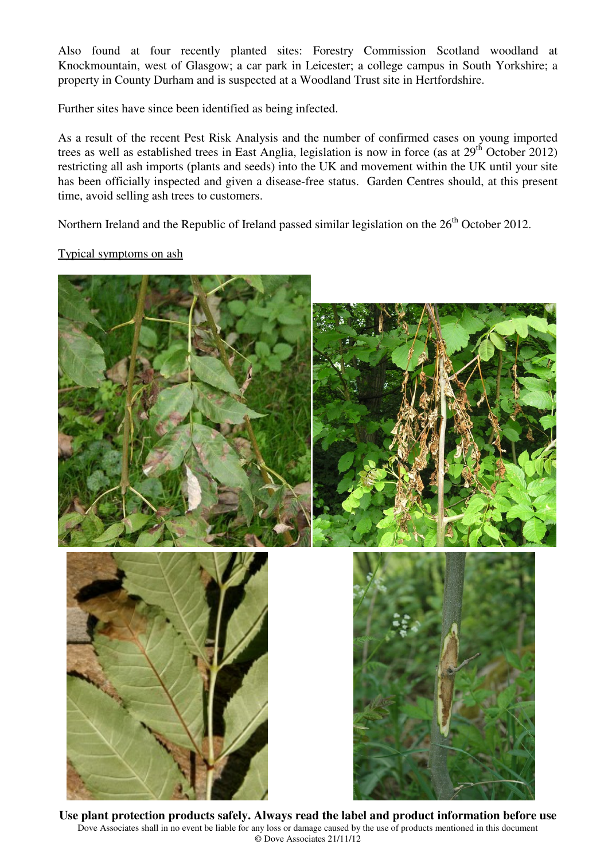Also found at four recently planted sites: Forestry Commission Scotland woodland at Knockmountain, west of Glasgow; a car park in Leicester; a college campus in South Yorkshire; a property in County Durham and is suspected at a Woodland Trust site in Hertfordshire.

Further sites have since been identified as being infected.

As a result of the recent Pest Risk Analysis and the number of confirmed cases on young imported trees as well as established trees in East Anglia, legislation is now in force (as at 29<sup>th</sup> October 2012) restricting all ash imports (plants and seeds) into the UK and movement within the UK until your site has been officially inspected and given a disease-free status. Garden Centres should, at this present time, avoid selling ash trees to customers.

Northern Ireland and the Republic of Ireland passed similar legislation on the 26<sup>th</sup> October 2012.

### Typical symptoms on ash



**Use plant protection products safely. Always read the label and product information before use** Dove Associates shall in no event be liable for any loss or damage caused by the use of products mentioned in this document © Dove Associates 21/11/12